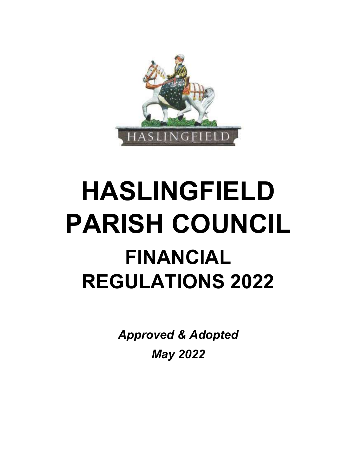

# HASLINGFIELD PARISH COUNCIL FINANCIAL REGULATIONS 2022

Approved & Adopted May 2022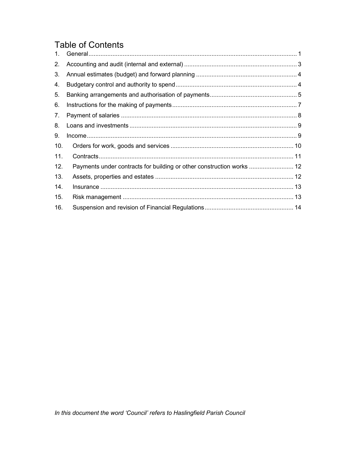## **Table of Contents**

| $\mathbf{1}$ . |                                                                       |  |
|----------------|-----------------------------------------------------------------------|--|
| 2.             |                                                                       |  |
| 3.             |                                                                       |  |
| 4.             |                                                                       |  |
| 5.             |                                                                       |  |
| 6.             |                                                                       |  |
| 7.             |                                                                       |  |
| 8.             |                                                                       |  |
| 9.             |                                                                       |  |
| 10.            |                                                                       |  |
| 11.            |                                                                       |  |
| 12.            | Payments under contracts for building or other construction works  12 |  |
| 13.            |                                                                       |  |
| 14.            |                                                                       |  |
| 15.            |                                                                       |  |
| 16.            |                                                                       |  |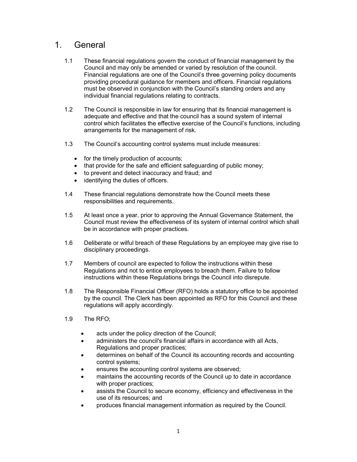## 1. General

- 1.1 These financial regulations govern the conduct of financial management by the Council and may only be amended or varied by resolution of the council. Financial regulations are one of the Council's three governing policy documents providing procedural guidance for members and officers. Financial regulations must be observed in conjunction with the Council's standing orders and any individual financial regulations relating to contracts.
- 1.2 The Council is responsible in law for ensuring that its financial management is adequate and effective and that the council has a sound system of internal control which facilitates the effective exercise of the Council's functions, including arrangements for the management of risk.
- 1.3 The Council's accounting control systems must include measures:
	- for the timely production of accounts;
	- that provide for the safe and efficient safeguarding of public money;
	- to prevent and detect inaccuracy and fraud; and
	- identifying the duties of officers.
- 1.4 These financial regulations demonstrate how the Council meets these responsibilities and requirements.
- 1.5 At least once a year, prior to approving the Annual Governance Statement, the Council must review the effectiveness of its system of internal control which shall be in accordance with proper practices.
- 1.6 Deliberate or wilful breach of these Regulations by an employee may give rise to disciplinary proceedings.
- 1.7 Members of council are expected to follow the instructions within these Regulations and not to entice employees to breach them. Failure to follow instructions within these Regulations brings the Council into disrepute.
- 1.8 The Responsible Financial Officer (RFO) holds a statutory office to be appointed by the council. The Clerk has been appointed as RFO for this Council and these regulations will apply accordingly.
- 1.9 The RFO;
	- acts under the policy direction of the Council;
	- administers the council's financial affairs in accordance with all Acts, Regulations and proper practices;
	- determines on behalf of the Council its accounting records and accounting control systems;
	- ensures the accounting control systems are observed;
	- maintains the accounting records of the Council up to date in accordance with proper practices;
	- assists the Council to secure economy, efficiency and effectiveness in the use of its resources; and
	- produces financial management information as required by the Council.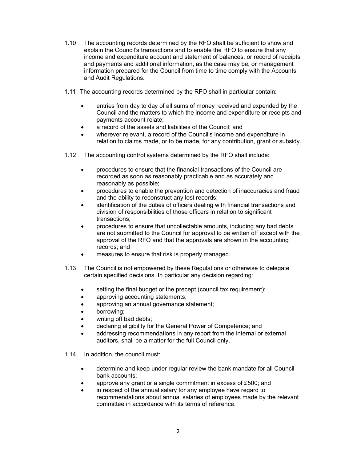- 1.10 The accounting records determined by the RFO shall be sufficient to show and explain the Council's transactions and to enable the RFO to ensure that any income and expenditure account and statement of balances, or record of receipts and payments and additional information, as the case may be, or management information prepared for the Council from time to time comply with the Accounts and Audit Regulations.
- 1.11 The accounting records determined by the RFO shall in particular contain:
	- entries from day to day of all sums of money received and expended by the Council and the matters to which the income and expenditure or receipts and payments account relate;
	- a record of the assets and liabilities of the Council; and
	- wherever relevant, a record of the Council's income and expenditure in relation to claims made, or to be made, for any contribution, grant or subsidy.
- 1.12 The accounting control systems determined by the RFO shall include:
	- procedures to ensure that the financial transactions of the Council are recorded as soon as reasonably practicable and as accurately and reasonably as possible;
	- procedures to enable the prevention and detection of inaccuracies and fraud and the ability to reconstruct any lost records;
	- identification of the duties of officers dealing with financial transactions and division of responsibilities of those officers in relation to significant transactions;
	- procedures to ensure that uncollectable amounts, including any bad debts are not submitted to the Council for approval to be written off except with the approval of the RFO and that the approvals are shown in the accounting records; and
	- measures to ensure that risk is properly managed.
- 1.13 The Council is not empowered by these Regulations or otherwise to delegate certain specified decisions. In particular any decision regarding:
	- setting the final budget or the precept (council tax requirement);
	- approving accounting statements;
	- approving an annual governance statement;
	- borrowing;
	- writing off bad debts;
	- declaring eligibility for the General Power of Competence; and
	- addressing recommendations in any report from the internal or external auditors, shall be a matter for the full Council only.
- 1.14 In addition, the council must:
	- determine and keep under regular review the bank mandate for all Council bank accounts;
	- approve any grant or a single commitment in excess of £500; and
	- in respect of the annual salary for any employee have regard to recommendations about annual salaries of employees made by the relevant committee in accordance with its terms of reference.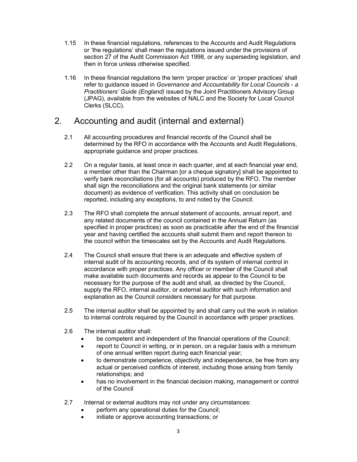- 1.15 In these financial regulations, references to the Accounts and Audit Regulations or 'the regulations' shall mean the regulations issued under the provisions of section 27 of the Audit Commission Act 1998, or any superseding legislation, and then in force unless otherwise specified.
- 1.16 In these financial regulations the term 'proper practice' or 'proper practices' shall refer to guidance issued in Governance and Accountability for Local Councils - a Practitioners' Guide (England) issued by the Joint Practitioners Advisory Group (JPAG), available from the websites of NALC and the Society for Local Council Clerks (SLCC).

## 2. Accounting and audit (internal and external)

- 2.1 All accounting procedures and financial records of the Council shall be determined by the RFO in accordance with the Accounts and Audit Regulations, appropriate guidance and proper practices.
- 2.2 On a regular basis, at least once in each quarter, and at each financial year end, a member other than the Chairman [or a cheque signatory] shall be appointed to verify bank reconciliations (for all accounts) produced by the RFO. The member shall sign the reconciliations and the original bank statements (or similar document) as evidence of verification. This activity shall on conclusion be reported, including any exceptions, to and noted by the Council.
- 2.3 The RFO shall complete the annual statement of accounts, annual report, and any related documents of the council contained in the Annual Return (as specified in proper practices) as soon as practicable after the end of the financial year and having certified the accounts shall submit them and report thereon to the council within the timescales set by the Accounts and Audit Regulations.
- 2.4 The Council shall ensure that there is an adequate and effective system of internal audit of its accounting records, and of its system of internal control in accordance with proper practices. Any officer or member of the Council shall make available such documents and records as appear to the Council to be necessary for the purpose of the audit and shall, as directed by the Council, supply the RFO, internal auditor, or external auditor with such information and explanation as the Council considers necessary for that purpose.
- 2.5 The internal auditor shall be appointed by and shall carry out the work in relation to internal controls required by the Council in accordance with proper practices.
- 2.6 The internal auditor shall:
	- be competent and independent of the financial operations of the Council;
	- report to Council in writing, or in person, on a regular basis with a minimum of one annual written report during each financial year;
	- to demonstrate competence, objectivity and independence, be free from any actual or perceived conflicts of interest, including those arising from family relationships; and
	- has no involvement in the financial decision making, management or control of the Council
- 2.7 Internal or external auditors may not under any circumstances:
	- perform any operational duties for the Council;
	- initiate or approve accounting transactions; or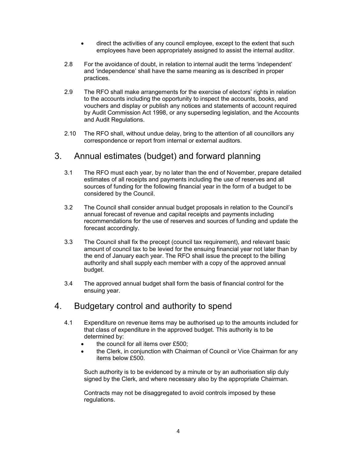- direct the activities of any council employee, except to the extent that such employees have been appropriately assigned to assist the internal auditor.
- 2.8 For the avoidance of doubt, in relation to internal audit the terms 'independent' and 'independence' shall have the same meaning as is described in proper practices.
- 2.9 The RFO shall make arrangements for the exercise of electors' rights in relation to the accounts including the opportunity to inspect the accounts, books, and vouchers and display or publish any notices and statements of account required by Audit Commission Act 1998, or any superseding legislation, and the Accounts and Audit Regulations.
- 2.10 The RFO shall, without undue delay, bring to the attention of all councillors any correspondence or report from internal or external auditors.

## 3. Annual estimates (budget) and forward planning

- 3.1 The RFO must each year, by no later than the end of November, prepare detailed estimates of all receipts and payments including the use of reserves and all sources of funding for the following financial year in the form of a budget to be considered by the Council.
- 3.2 The Council shall consider annual budget proposals in relation to the Council's annual forecast of revenue and capital receipts and payments including recommendations for the use of reserves and sources of funding and update the forecast accordingly.
- 3.3 The Council shall fix the precept (council tax requirement), and relevant basic amount of council tax to be levied for the ensuing financial year not later than by the end of January each year. The RFO shall issue the precept to the billing authority and shall supply each member with a copy of the approved annual budget.
- 3.4 The approved annual budget shall form the basis of financial control for the ensuing year.

## 4. Budgetary control and authority to spend

- 4.1 Expenditure on revenue items may be authorised up to the amounts included for that class of expenditure in the approved budget. This authority is to be determined by:
	- the council for all items over £500;
	- the Clerk, in conjunction with Chairman of Council or Vice Chairman for any items below £500.

Such authority is to be evidenced by a minute or by an authorisation slip duly signed by the Clerk, and where necessary also by the appropriate Chairman.

Contracts may not be disaggregated to avoid controls imposed by these regulations.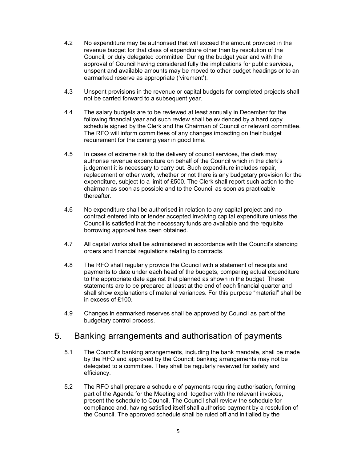- 4.2 No expenditure may be authorised that will exceed the amount provided in the revenue budget for that class of expenditure other than by resolution of the Council, or duly delegated committee. During the budget year and with the approval of Council having considered fully the implications for public services, unspent and available amounts may be moved to other budget headings or to an earmarked reserve as appropriate ('virement').
- 4.3 Unspent provisions in the revenue or capital budgets for completed projects shall not be carried forward to a subsequent year.
- 4.4 The salary budgets are to be reviewed at least annually in December for the following financial year and such review shall be evidenced by a hard copy schedule signed by the Clerk and the Chairman of Council or relevant committee. The RFO will inform committees of any changes impacting on their budget requirement for the coming year in good time.
- 4.5 In cases of extreme risk to the delivery of council services, the clerk may authorise revenue expenditure on behalf of the Council which in the clerk's judgement it is necessary to carry out. Such expenditure includes repair, replacement or other work, whether or not there is any budgetary provision for the expenditure, subject to a limit of £500. The Clerk shall report such action to the chairman as soon as possible and to the Council as soon as practicable thereafter.
- 4.6 No expenditure shall be authorised in relation to any capital project and no contract entered into or tender accepted involving capital expenditure unless the Council is satisfied that the necessary funds are available and the requisite borrowing approval has been obtained.
- 4.7 All capital works shall be administered in accordance with the Council's standing orders and financial regulations relating to contracts.
- 4.8 The RFO shall regularly provide the Council with a statement of receipts and payments to date under each head of the budgets, comparing actual expenditure to the appropriate date against that planned as shown in the budget. These statements are to be prepared at least at the end of each financial quarter and shall show explanations of material variances. For this purpose "material" shall be in excess of £100.
- 4.9 Changes in earmarked reserves shall be approved by Council as part of the budgetary control process.

## 5. Banking arrangements and authorisation of payments

- 5.1 The Council's banking arrangements, including the bank mandate, shall be made by the RFO and approved by the Council; banking arrangements may not be delegated to a committee. They shall be regularly reviewed for safety and efficiency.
- 5.2 The RFO shall prepare a schedule of payments requiring authorisation, forming part of the Agenda for the Meeting and, together with the relevant invoices, present the schedule to Council. The Council shall review the schedule for compliance and, having satisfied itself shall authorise payment by a resolution of the Council. The approved schedule shall be ruled off and initialled by the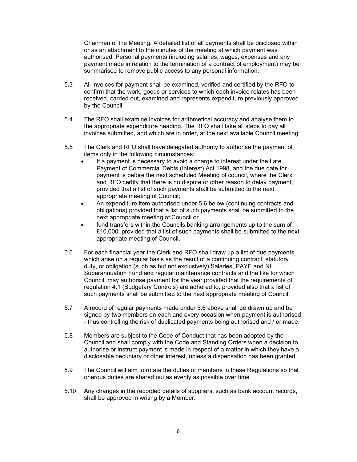Chairman of the Meeting. A detailed list of all payments shall be disclosed within or as an attachment to the minutes of the meeting at which payment was authorised. Personal payments (including salaries, wages, expenses and any payment made in relation to the termination of a contract of employment) may be summarised to remove public access to any personal information.

- 5.3 All invoices for payment shall be examined, verified and certified by the RFO to confirm that the work, goods or services to which each invoice relates has been received, carried out, examined and represents expenditure previously approved by the Council.
- 5.4 The RFO shall examine invoices for arithmetical accuracy and analyse them to the appropriate expenditure heading. The RFO shall take all steps to pay all invoices submitted, and which are in order, at the next available Council meeting.
- 5.5 The Clerk and RFO shall have delegated authority to authorise the payment of items only in the following circumstances:
	- If a payment is necessary to avoid a charge to interest under the Late Payment of Commercial Debts (Interest) Act 1998, and the due date for payment is before the next scheduled Meeting of council, where the Clerk and RFO certify that there is no dispute or other reason to delay payment, provided that a list of such payments shall be submitted to the next appropriate meeting of Council;
	- An expenditure item authorised under 5.6 below (continuing contracts and obligations) provided that a list of such payments shall be submitted to the next appropriate meeting of Council or
	- fund transfers within the Councils banking arrangements up to the sum of £10,000, provided that a list of such payments shall be submitted to the next appropriate meeting of Council.
- 5.6 For each financial year the Clerk and RFO shall draw up a list of due payments which arise on a regular basis as the result of a continuing contract, statutory duty, or obligation (such as but not exclusively) Salaries, PAYE and NI, Superannuation Fund and regular maintenance contracts and the like for which Council may authorise payment for the year provided that the requirements of regulation 4.1 (Budgetary Controls) are adhered to, provided also that a list of such payments shall be submitted to the next appropriate meeting of Council.
- 5.7 A record of regular payments made under 5.6 above shall be drawn up and be signed by two members on each and every occasion when payment is authorised - thus controlling the risk of duplicated payments being authorised and / or made.
- 5.8 Members are subject to the Code of Conduct that has been adopted by the Council and shall comply with the Code and Standing Orders when a decision to authorise or instruct payment is made in respect of a matter in which they have a disclosable pecuniary or other interest, unless a dispensation has been granted.
- 5.9 The Council will aim to rotate the duties of members in these Regulations so that onerous duties are shared out as evenly as possible over time.
- 5.10 Any changes in the recorded details of suppliers, such as bank account records, shall be approved in writing by a Member.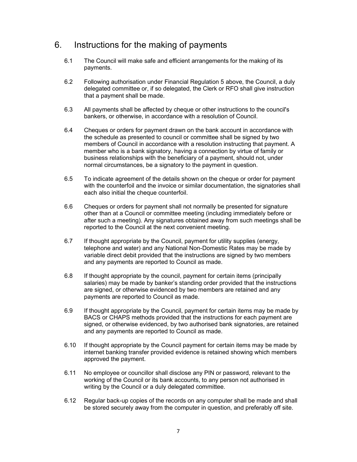## 6. Instructions for the making of payments

- 6.1 The Council will make safe and efficient arrangements for the making of its payments.
- 6.2 Following authorisation under Financial Regulation 5 above, the Council, a duly delegated committee or, if so delegated, the Clerk or RFO shall give instruction that a payment shall be made.
- 6.3 All payments shall be affected by cheque or other instructions to the council's bankers, or otherwise, in accordance with a resolution of Council.
- 6.4 Cheques or orders for payment drawn on the bank account in accordance with the schedule as presented to council or committee shall be signed by two members of Council in accordance with a resolution instructing that payment. A member who is a bank signatory, having a connection by virtue of family or business relationships with the beneficiary of a payment, should not, under normal circumstances, be a signatory to the payment in question.
- 6.5 To indicate agreement of the details shown on the cheque or order for payment with the counterfoil and the invoice or similar documentation, the signatories shall each also initial the cheque counterfoil.
- 6.6 Cheques or orders for payment shall not normally be presented for signature other than at a Council or committee meeting (including immediately before or after such a meeting). Any signatures obtained away from such meetings shall be reported to the Council at the next convenient meeting.
- 6.7 If thought appropriate by the Council, payment for utility supplies (energy, telephone and water) and any National Non-Domestic Rates may be made by variable direct debit provided that the instructions are signed by two members and any payments are reported to Council as made.
- 6.8 If thought appropriate by the council, payment for certain items (principally salaries) may be made by banker's standing order provided that the instructions are signed, or otherwise evidenced by two members are retained and any payments are reported to Council as made.
- 6.9 If thought appropriate by the Council, payment for certain items may be made by BACS or CHAPS methods provided that the instructions for each payment are signed, or otherwise evidenced, by two authorised bank signatories, are retained and any payments are reported to Council as made.
- 6.10 If thought appropriate by the Council payment for certain items may be made by internet banking transfer provided evidence is retained showing which members approved the payment.
- 6.11 No employee or councillor shall disclose any PIN or password, relevant to the working of the Council or its bank accounts, to any person not authorised in writing by the Council or a duly delegated committee.
- 6.12 Regular back-up copies of the records on any computer shall be made and shall be stored securely away from the computer in question, and preferably off site.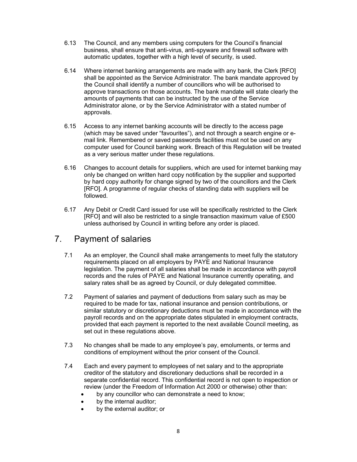- 6.13 The Council, and any members using computers for the Council's financial business, shall ensure that anti-virus, anti-spyware and firewall software with automatic updates, together with a high level of security, is used.
- 6.14 Where internet banking arrangements are made with any bank, the Clerk [RFO] shall be appointed as the Service Administrator. The bank mandate approved by the Council shall identify a number of councillors who will be authorised to approve transactions on those accounts. The bank mandate will state clearly the amounts of payments that can be instructed by the use of the Service Administrator alone, or by the Service Administrator with a stated number of approvals.
- 6.15 Access to any internet banking accounts will be directly to the access page (which may be saved under "favourites"), and not through a search engine or email link. Remembered or saved passwords facilities must not be used on any computer used for Council banking work. Breach of this Regulation will be treated as a very serious matter under these regulations.
- 6.16 Changes to account details for suppliers, which are used for internet banking may only be changed on written hard copy notification by the supplier and supported by hard copy authority for change signed by two of the councillors and the Clerk [RFO]. A programme of regular checks of standing data with suppliers will be followed.
- 6.17 Any Debit or Credit Card issued for use will be specifically restricted to the Clerk [RFO] and will also be restricted to a single transaction maximum value of £500 unless authorised by Council in writing before any order is placed.

## 7. Payment of salaries

- 7.1 As an employer, the Council shall make arrangements to meet fully the statutory requirements placed on all employers by PAYE and National Insurance legislation. The payment of all salaries shall be made in accordance with payroll records and the rules of PAYE and National Insurance currently operating, and salary rates shall be as agreed by Council, or duly delegated committee.
- 7.2 Payment of salaries and payment of deductions from salary such as may be required to be made for tax, national insurance and pension contributions, or similar statutory or discretionary deductions must be made in accordance with the payroll records and on the appropriate dates stipulated in employment contracts, provided that each payment is reported to the next available Council meeting, as set out in these regulations above.
- 7.3 No changes shall be made to any employee's pay, emoluments, or terms and conditions of employment without the prior consent of the Council.
- 7.4 Each and every payment to employees of net salary and to the appropriate creditor of the statutory and discretionary deductions shall be recorded in a separate confidential record. This confidential record is not open to inspection or review (under the Freedom of Information Act 2000 or otherwise) other than:
	- by any councillor who can demonstrate a need to know;
	- by the internal auditor;
	- by the external auditor; or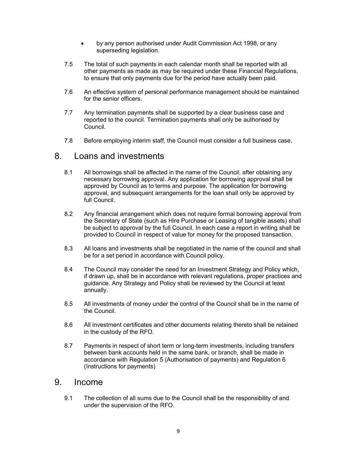- by any person authorised under Audit Commission Act 1998, or any superseding legislation.
- 7.5 The total of such payments in each calendar month shall be reported with all other payments as made as may be required under these Financial Regulations, to ensure that only payments due for the period have actually been paid.
- 7.6 An effective system of personal performance management should be maintained for the senior officers.
- 7.7 Any termination payments shall be supported by a clear business case and reported to the council. Termination payments shall only be authorised by Council.
- 7.8 Before employing interim staff, the Council must consider a full business case.

#### 8. Loans and investments

- 8.1 All borrowings shall be affected in the name of the Council, after obtaining any necessary borrowing approval. Any application for borrowing approval shall be approved by Council as to terms and purpose. The application for borrowing approval, and subsequent arrangements for the loan shall only be approved by full Council.
- 8.2 Any financial arrangement which does not require formal borrowing approval from the Secretary of State (such as Hire Purchase or Leasing of tangible assets) shall be subject to approval by the full Council. In each case a report in writing shall be provided to Council in respect of value for money for the proposed transaction.
- 8.3 All loans and investments shall be negotiated in the name of the council and shall be for a set period in accordance with Council policy.
- 8.4 The Council may consider the need for an Investment Strategy and Policy which, if drawn up, shall be in accordance with relevant regulations, proper practices and guidance. Any Strategy and Policy shall be reviewed by the Council at least annually.
- 8.5 All investments of money under the control of the Council shall be in the name of the Council.
- 8.6 All investment certificates and other documents relating thereto shall be retained in the custody of the RFO.
- 8.7 Payments in respect of short term or long-term investments, including transfers between bank accounts held in the same bank, or branch, shall be made in accordance with Regulation 5 (Authorisation of payments) and Regulation 6 (Instructions for payments)

#### 9. Income

9.1 The collection of all sums due to the Council shall be the responsibility of and under the supervision of the RFO.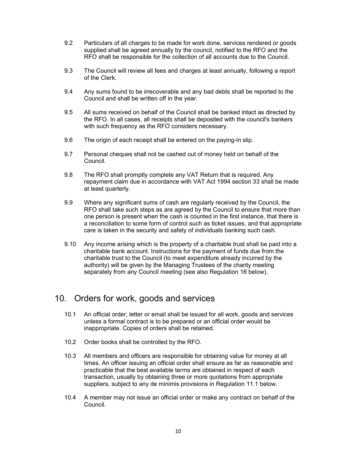- 9.2 Particulars of all charges to be made for work done, services rendered or goods supplied shall be agreed annually by the council, notified to the RFO and the RFO shall be responsible for the collection of all accounts due to the Council.
- 9.3 The Council will review all fees and charges at least annually, following a report of the Clerk.
- 9.4 Any sums found to be irrecoverable and any bad debts shall be reported to the Council and shall be written off in the year.
- 9.5 All sums received on behalf of the Council shall be banked intact as directed by the RFO. In all cases, all receipts shall be deposited with the council's bankers with such frequency as the RFO considers necessary.
- 9.6 The origin of each receipt shall be entered on the paying-in slip.
- 9.7 Personal cheques shall not be cashed out of money held on behalf of the Council.
- 9.8 The RFO shall promptly complete any VAT Return that is required. Any repayment claim due in accordance with VAT Act 1994 section 33 shall be made at least quarterly.
- 9.9 Where any significant sums of cash are regularly received by the Council, the RFO shall take such steps as are agreed by the Council to ensure that more than one person is present when the cash is counted in the first instance, that there is a reconciliation to some form of control such as ticket issues, and that appropriate care is taken in the security and safety of individuals banking such cash.
- 9.10 Any income arising which is the property of a charitable trust shall be paid into a charitable bank account. Instructions for the payment of funds due from the charitable trust to the Council (to meet expenditure already incurred by the authority) will be given by the Managing Trustees of the charity meeting separately from any Council meeting (see also Regulation 16 below).

#### 10. Orders for work, goods and services

- 10.1 An official order, letter or email shall be issued for all work, goods and services unless a formal contract is to be prepared or an official order would be inappropriate. Copies of orders shall be retained.
- 10.2 Order books shall be controlled by the RFO.
- 10.3 All members and officers are responsible for obtaining value for money at all times. An officer issuing an official order shall ensure as far as reasonable and practicable that the best available terms are obtained in respect of each transaction, usually by obtaining three or more quotations from appropriate suppliers, subject to any de minimis provisions in Regulation 11.1 below.
- 10.4 A member may not issue an official order or make any contract on behalf of the Council.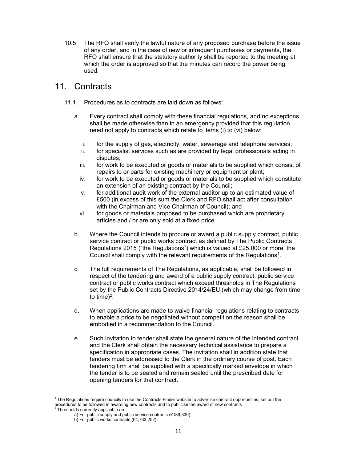10.5 The RFO shall verify the lawful nature of any proposed purchase before the issue of any order, and in the case of new or infrequent purchases or payments, the RFO shall ensure that the statutory authority shall be reported to the meeting at which the order is approved so that the minutes can record the power being used.

## 11. Contracts

- 11.1 Procedures as to contracts are laid down as follows:
	- a. Every contract shall comply with these financial regulations, and no exceptions shall be made otherwise than in an emergency provided that this regulation need not apply to contracts which relate to items (i) to (vi) below:
		- i. for the supply of gas, electricity, water, sewerage and telephone services;
		- ii. for specialist services such as are provided by legal professionals acting in disputes;
		- iii. for work to be executed or goods or materials to be supplied which consist of repairs to or parts for existing machinery or equipment or plant;
		- iv. for work to be executed or goods or materials to be supplied which constitute an extension of an existing contract by the Council;
		- v. for additional audit work of the external auditor up to an estimated value of £500 (in excess of this sum the Clerk and RFO shall act after consultation with the Chairman and Vice Chairman of Council); and
		- vi. for goods or materials proposed to be purchased which are proprietary articles and / or are only sold at a fixed price.
	- b. Where the Council intends to procure or award a public supply contract, public service contract or public works contract as defined by The Public Contracts Regulations 2015 ("the Regulations") which is valued at £25,000 or more, the Council shall comply with the relevant requirements of the Regulations<sup>1</sup>.
	- c. The full requirements of The Regulations, as applicable, shall be followed in respect of the tendering and award of a public supply contract, public service contract or public works contract which exceed thresholds in The Regulations set by the Public Contracts Directive 2014/24/EU (which may change from time to time) $^2$ .
	- d. When applications are made to waive financial regulations relating to contracts to enable a price to be negotiated without competition the reason shall be embodied in a recommendation to the Council.
	- e. Such invitation to tender shall state the general nature of the intended contract and the Clerk shall obtain the necessary technical assistance to prepare a specification in appropriate cases. The invitation shall in addition state that tenders must be addressed to the Clerk in the ordinary course of post. Each tendering firm shall be supplied with a specifically marked envelope in which the tender is to be sealed and remain sealed until the prescribed date for opening tenders for that contract.

<sup>1</sup> The Regulations require councils to use the Contracts Finder website to advertise contract opportunities, set out the procedures to be followed in awarding new contracts and to publicise the award of new contracts<br><sup>2</sup> Thresholds currently applicable are:

a) For public supply and public service contracts (£189,330)

b) For public works contracts (£4,733,252)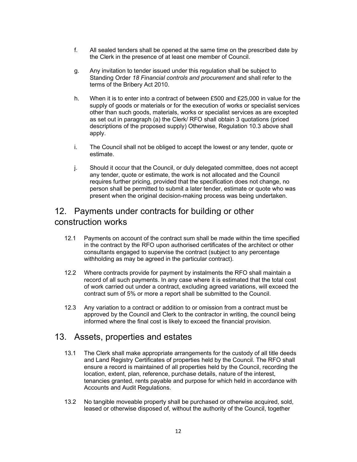- f. All sealed tenders shall be opened at the same time on the prescribed date by the Clerk in the presence of at least one member of Council.
- g. Any invitation to tender issued under this regulation shall be subject to Standing Order 18 Financial controls and procurement and shall refer to the terms of the Bribery Act 2010.
- h. When it is to enter into a contract of between £500 and £25,000 in value for the supply of goods or materials or for the execution of works or specialist services other than such goods, materials, works or specialist services as are excepted as set out in paragraph (a) the Clerk/ RFO shall obtain 3 quotations (priced descriptions of the proposed supply) Otherwise, Regulation 10.3 above shall apply.
- i. The Council shall not be obliged to accept the lowest or any tender, quote or estimate.
- j. Should it occur that the Council, or duly delegated committee, does not accept any tender, quote or estimate, the work is not allocated and the Council requires further pricing, provided that the specification does not change, no person shall be permitted to submit a later tender, estimate or quote who was present when the original decision-making process was being undertaken.

## 12. Payments under contracts for building or other construction works

- 12.1 Payments on account of the contract sum shall be made within the time specified in the contract by the RFO upon authorised certificates of the architect or other consultants engaged to supervise the contract (subject to any percentage withholding as may be agreed in the particular contract).
- 12.2 Where contracts provide for payment by instalments the RFO shall maintain a record of all such payments. In any case where it is estimated that the total cost of work carried out under a contract, excluding agreed variations, will exceed the contract sum of 5% or more a report shall be submitted to the Council.
- 12.3 Any variation to a contract or addition to or omission from a contract must be approved by the Council and Clerk to the contractor in writing, the council being informed where the final cost is likely to exceed the financial provision.

#### 13. Assets, properties and estates

- 13.1 The Clerk shall make appropriate arrangements for the custody of all title deeds and Land Registry Certificates of properties held by the Council. The RFO shall ensure a record is maintained of all properties held by the Council, recording the location, extent, plan, reference, purchase details, nature of the interest, tenancies granted, rents payable and purpose for which held in accordance with Accounts and Audit Regulations.
- 13.2 No tangible moveable property shall be purchased or otherwise acquired, sold, leased or otherwise disposed of, without the authority of the Council, together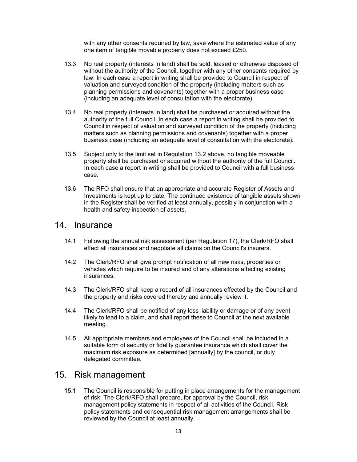with any other consents required by law, save where the estimated value of any one item of tangible movable property does not exceed £250.

- 13.3 No real property (interests in land) shall be sold, leased or otherwise disposed of without the authority of the Council, together with any other consents required by law. In each case a report in writing shall be provided to Council in respect of valuation and surveyed condition of the property (including matters such as planning permissions and covenants) together with a proper business case (including an adequate level of consultation with the electorate).
- 13.4 No real property (interests in land) shall be purchased or acquired without the authority of the full Council. In each case a report in writing shall be provided to Council in respect of valuation and surveyed condition of the property (including matters such as planning permissions and covenants) together with a proper business case (including an adequate level of consultation with the electorate).
- 13.5 Subject only to the limit set in Regulation 13.2 above, no tangible moveable property shall be purchased or acquired without the authority of the full Council. In each case a report in writing shall be provided to Council with a full business case.
- 13.6 The RFO shall ensure that an appropriate and accurate Register of Assets and Investments is kept up to date. The continued existence of tangible assets shown in the Register shall be verified at least annually, possibly in conjunction with a health and safety inspection of assets.

#### 14. Insurance

- 14.1 Following the annual risk assessment (per Regulation 17), the Clerk/RFO shall effect all insurances and negotiate all claims on the Council's insurers.
- 14.2 The Clerk/RFO shall give prompt notification of all new risks, properties or vehicles which require to be insured and of any alterations affecting existing insurances.
- 14.3 The Clerk/RFO shall keep a record of all insurances effected by the Council and the property and risks covered thereby and annually review it.
- 14.4 The Clerk/RFO shall be notified of any loss liability or damage or of any event likely to lead to a claim, and shall report these to Council at the next available meeting.
- 14.5 All appropriate members and employees of the Council shall be included in a suitable form of security or fidelity guarantee insurance which shall cover the maximum risk exposure as determined [annually] by the council, or duly delegated committee.

#### 15. Risk management

15.1 The Council is responsible for putting in place arrangements for the management of risk. The Clerk/RFO shall prepare, for approval by the Council, risk management policy statements in respect of all activities of the Council. Risk policy statements and consequential risk management arrangements shall be reviewed by the Council at least annually.